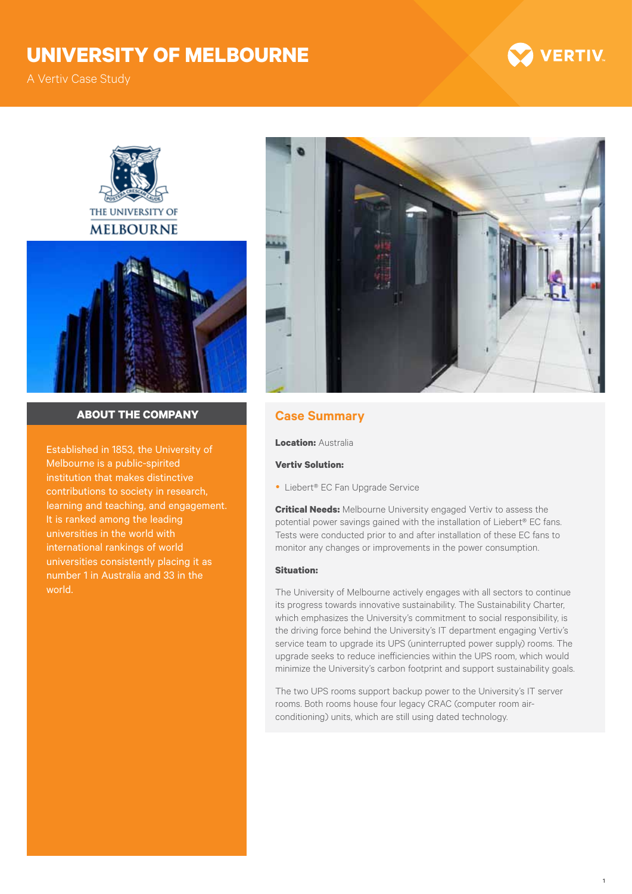# **University of Melbourne**

A Vertiv Case Study



1





## **about the company Case Summary**

Established in 1853, the University of Melbourne is a public-spirited institution that makes distinctive contributions to society in research, learning and teaching, and engagement. It is ranked among the leading universities in the world with international rankings of world universities consistently placing it as number 1 in Australia and 33 in the world.



**Location:** Australia

### **Vertiv Solution:**

● Liebert® EC Fan Upgrade Service

**Critical Needs:** Melbourne University engaged Vertiv to assess the potential power savings gained with the installation of Liebert® EC fans. Tests were conducted prior to and after installation of these EC fans to monitor any changes or improvements in the power consumption.

## **Situation:**

The University of Melbourne actively engages with all sectors to continue its progress towards innovative sustainability. The Sustainability Charter, which emphasizes the University's commitment to social responsibility, is the driving force behind the University's IT department engaging Vertiv's service team to upgrade its UPS (uninterrupted power supply) rooms. The upgrade seeks to reduce inefficiencies within the UPS room, which would minimize the University's carbon footprint and support sustainability goals.

The two UPS rooms support backup power to the University's IT server rooms. Both rooms house four legacy CRAC (computer room airconditioning) units, which are still using dated technology.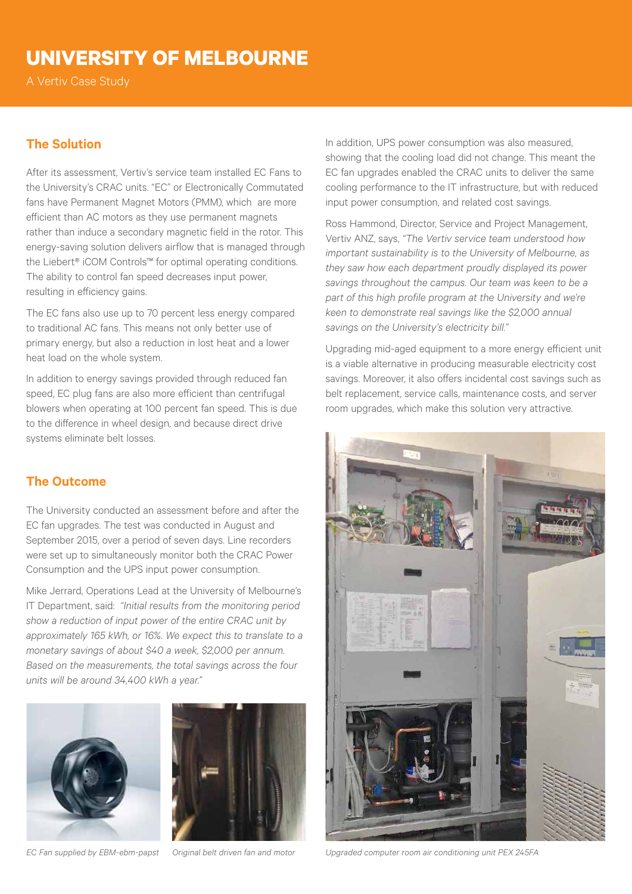# **University of Melbourne**

A Vertiv Case Study

# **The Solution**

After its assessment, Vertiv's service team installed EC Fans to the University's CRAC units. "EC" or Electronically Commutated fans have Permanent Magnet Motors (PMM), which are more efficient than AC motors as they use permanent magnets rather than induce a secondary magnetic field in the rotor. This energy-saving solution delivers airflow that is managed through the Liebert® iCOM Controls™ for optimal operating conditions. The ability to control fan speed decreases input power, resulting in efficiency gains.

The EC fans also use up to 70 percent less energy compared to traditional AC fans. This means not only better use of primary energy, but also a reduction in lost heat and a lower heat load on the whole system.

In addition to energy savings provided through reduced fan speed, EC plug fans are also more efficient than centrifugal blowers when operating at 100 percent fan speed. This is due to the difference in wheel design, and because direct drive systems eliminate belt losses.

# **The Outcome**

The University conducted an assessment before and after the EC fan upgrades. The test was conducted in August and September 2015, over a period of seven days. Line recorders were set up to simultaneously monitor both the CRAC Power Consumption and the UPS input power consumption.

Mike Jerrard, Operations Lead at the University of Melbourne's IT Department, said: *"Initial results from the monitoring period show a reduction of input power of the entire CRAC unit by approximately 165 kWh, or 16%. We expect this to translate to a monetary savings of about \$40 a week, \$2,000 per annum. Based on the measurements, the total savings across the four units will be around 34,400 kWh a year."*





In addition, UPS power consumption was also measured, showing that the cooling load did not change. This meant the EC fan upgrades enabled the CRAC units to deliver the same cooling performance to the IT infrastructure, but with reduced input power consumption, and related cost savings.

Ross Hammond, Director, Service and Project Management, Vertiv ANZ, says, *"The Vertiv service team understood how important sustainability is to the University of Melbourne, as they saw how each department proudly displayed its power savings throughout the campus. Our team was keen to be a part of this high profile program at the University and we're keen to demonstrate real savings like the \$2,000 annual savings on the University's electricity bill."*

Upgrading mid-aged equipment to a more energy efficient unit is a viable alternative in producing measurable electricity cost savings. Moreover, it also offers incidental cost savings such as belt replacement, service calls, maintenance costs, and server room upgrades, which make this solution very attractive.



*EC Fan supplied by EBM-ebm-papst Original belt driven fan and motor Upgraded computer room air conditioning unit PEX 245FA*